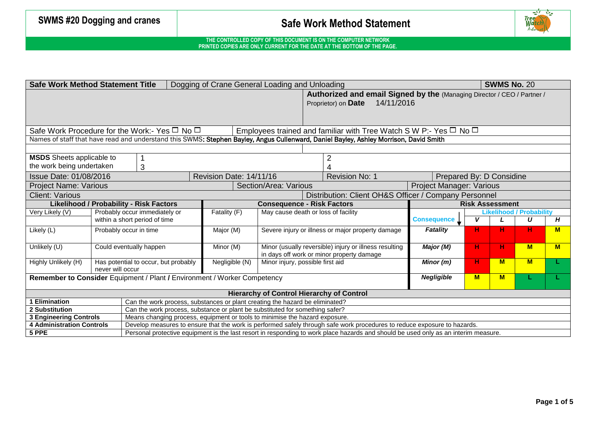

### **THE CONTROLLED COPY OF THIS DOCUMENT IS ON THE COMPUTER NETWORK PRINTED COPIES ARE ONLY CURRENT FOR THE DATE AT THE BOTTOM OF THE PAGE.**

|                                                                                                                                                                                              | <b>Safe Work Method Statement Title</b><br>Dogging of Crane General Loading and Unloading                                              |                              |                                                        |                                                       |                                 | <b>SWMS No. 20</b> |          |   |   |  |
|----------------------------------------------------------------------------------------------------------------------------------------------------------------------------------------------|----------------------------------------------------------------------------------------------------------------------------------------|------------------------------|--------------------------------------------------------|-------------------------------------------------------|---------------------------------|--------------------|----------|---|---|--|
| Authorized and email Signed by the (Managing Director / CEO / Partner /                                                                                                                      |                                                                                                                                        |                              |                                                        |                                                       |                                 |                    |          |   |   |  |
| 14/11/2016<br>Proprietor) on Date                                                                                                                                                            |                                                                                                                                        |                              |                                                        |                                                       |                                 |                    |          |   |   |  |
|                                                                                                                                                                                              |                                                                                                                                        |                              |                                                        |                                                       |                                 |                    |          |   |   |  |
|                                                                                                                                                                                              |                                                                                                                                        |                              |                                                        |                                                       |                                 |                    |          |   |   |  |
|                                                                                                                                                                                              | Safe Work Procedure for the Work:- Yes $\Box$ No $\Box$<br>Employees trained and familiar with Tree Watch S W P:- Yes $\Box$ No $\Box$ |                              |                                                        |                                                       |                                 |                    |          |   |   |  |
| Names of staff that have read and understand this SWMS: Stephen Bayley, Angus Cullenward, Daniel Bayley, Ashley Morrison, David Smith                                                        |                                                                                                                                        |                              |                                                        |                                                       |                                 |                    |          |   |   |  |
|                                                                                                                                                                                              |                                                                                                                                        |                              |                                                        |                                                       |                                 |                    |          |   |   |  |
| <b>MSDS</b> Sheets applicable to                                                                                                                                                             |                                                                                                                                        |                              |                                                        |                                                       |                                 |                    |          |   |   |  |
| the work being undertaken                                                                                                                                                                    |                                                                                                                                        |                              |                                                        |                                                       |                                 |                    |          |   |   |  |
|                                                                                                                                                                                              | 3                                                                                                                                      |                              |                                                        |                                                       |                                 |                    |          |   |   |  |
| Issue Date: 01/08/2016                                                                                                                                                                       |                                                                                                                                        | Revision Date: 14/11/16      |                                                        | <b>Revision No: 1</b>                                 | Prepared By: D Considine        |                    |          |   |   |  |
| <b>Project Name: Various</b>                                                                                                                                                                 |                                                                                                                                        |                              | Section/Area: Various                                  |                                                       | <b>Project Manager: Various</b> |                    |          |   |   |  |
| <b>Client: Various</b>                                                                                                                                                                       |                                                                                                                                        |                              |                                                        | Distribution: Client OH&S Officer / Company Personnel |                                 |                    |          |   |   |  |
| <b>Likelihood / Probability - Risk Factors</b><br><b>Consequence - Risk Factors</b><br><b>Risk Assessment</b>                                                                                |                                                                                                                                        |                              |                                                        |                                                       |                                 |                    |          |   |   |  |
| Very Likely (V)                                                                                                                                                                              | Probably occur immediately or                                                                                                          | Fatality (F)                 | May cause death or loss of facility                    |                                                       | <b>Likelihood / Probability</b> |                    |          |   |   |  |
|                                                                                                                                                                                              | within a short period of time                                                                                                          | V<br><b>Consequence</b><br>U |                                                        |                                                       |                                 |                    |          |   | Н |  |
| Likely (L)                                                                                                                                                                                   | Probably occur in time                                                                                                                 | Major (M)                    | Severe injury or illness or major property damage      |                                                       |                                 |                    | н        | н | M |  |
|                                                                                                                                                                                              |                                                                                                                                        |                              |                                                        |                                                       |                                 |                    |          |   |   |  |
| Unlikely (U)                                                                                                                                                                                 | Could eventually happen                                                                                                                | Minor (M)                    | Minor (usually reversible) injury or illness resulting | Major (M)                                             | н.                              | H.                 | M        | M |   |  |
|                                                                                                                                                                                              |                                                                                                                                        |                              | in days off work or minor property damage              | Minor (m)                                             |                                 |                    |          |   |   |  |
| Highly Unlikely (H)                                                                                                                                                                          | Has potential to occur, but probably                                                                                                   |                              | Negligible (N)<br>Minor injury, possible first aid     |                                                       |                                 |                    | <b>M</b> | M |   |  |
| never will occur                                                                                                                                                                             |                                                                                                                                        |                              |                                                        |                                                       |                                 |                    |          |   |   |  |
| Remember to Consider Equipment / Plant / Environment / Worker Competency<br><b>Negligible</b><br><b>M</b><br>M                                                                               |                                                                                                                                        |                              |                                                        |                                                       |                                 |                    |          |   |   |  |
|                                                                                                                                                                                              |                                                                                                                                        |                              |                                                        |                                                       |                                 |                    |          |   |   |  |
| <b>Hierarchy of Control Hierarchy of Control</b>                                                                                                                                             |                                                                                                                                        |                              |                                                        |                                                       |                                 |                    |          |   |   |  |
| 1 Elimination<br>2 Substitution                                                                                                                                                              | Can the work process, substances or plant creating the hazard be eliminated?                                                           |                              |                                                        |                                                       |                                 |                    |          |   |   |  |
| Can the work process, substance or plant be substituted for something safer?<br>Means changing process, equipment or tools to minimise the hazard exposure.<br><b>3 Engineering Controls</b> |                                                                                                                                        |                              |                                                        |                                                       |                                 |                    |          |   |   |  |
| Develop measures to ensure that the work is performed safely through safe work procedures to reduce exposure to hazards.<br><b>4 Administration Controls</b>                                 |                                                                                                                                        |                              |                                                        |                                                       |                                 |                    |          |   |   |  |
| 5 PPE                                                                                                                                                                                        | Personal protective equipment is the last resort in responding to work place hazards and should be used only as an interim measure.    |                              |                                                        |                                                       |                                 |                    |          |   |   |  |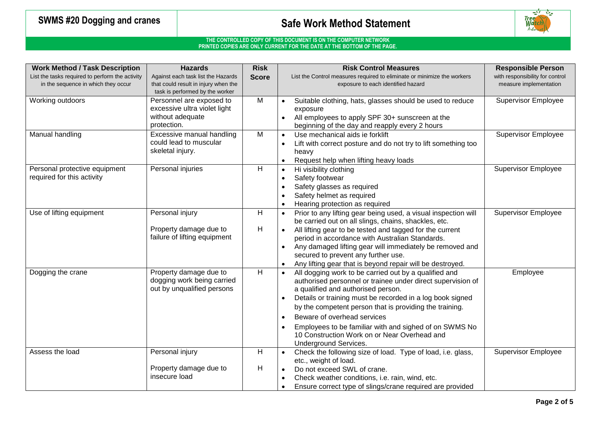

### **THE CONTROLLED COPY OF THIS DOCUMENT IS ON THE COMPUTER NETWORK PRINTED COPIES ARE ONLY CURRENT FOR THE DATE AT THE BOTTOM OF THE PAGE.**

| <b>Work Method / Task Description</b>                                                  | <b>Hazards</b>                                                                                                | <b>Risk</b>  | <b>Risk Control Measures</b>                                                                                                                                                                                                                                                                                                                                                                                                                                      | <b>Responsible Person</b>                                 |
|----------------------------------------------------------------------------------------|---------------------------------------------------------------------------------------------------------------|--------------|-------------------------------------------------------------------------------------------------------------------------------------------------------------------------------------------------------------------------------------------------------------------------------------------------------------------------------------------------------------------------------------------------------------------------------------------------------------------|-----------------------------------------------------------|
| List the tasks required to perform the activity<br>in the sequence in which they occur | Against each task list the Hazards<br>that could result in injury when the<br>task is performed by the worker | <b>Score</b> | List the Control measures required to eliminate or minimize the workers<br>exposure to each identified hazard                                                                                                                                                                                                                                                                                                                                                     | with responsibility for control<br>measure implementation |
| Working outdoors                                                                       | Personnel are exposed to<br>excessive ultra violet light<br>without adequate<br>protection.                   | M            | Suitable clothing, hats, glasses should be used to reduce<br>exposure<br>All employees to apply SPF 30+ sunscreen at the<br>beginning of the day and reapply every 2 hours                                                                                                                                                                                                                                                                                        | <b>Supervisor Employee</b>                                |
| Manual handling                                                                        | Excessive manual handling<br>could lead to muscular<br>skeletal injury.                                       | M            | Use mechanical aids ie forklift<br>$\bullet$<br>Lift with correct posture and do not try to lift something too<br>heavy<br>Request help when lifting heavy loads                                                                                                                                                                                                                                                                                                  | <b>Supervisor Employee</b>                                |
| Personal protective equipment<br>required for this activity                            | Personal injuries                                                                                             | H            | Hi visibility clothing<br>$\bullet$<br>Safety footwear<br>Safety glasses as required<br>Safety helmet as required<br>Hearing protection as required                                                                                                                                                                                                                                                                                                               | <b>Supervisor Employee</b>                                |
| Use of lifting equipment                                                               | Personal injury<br>Property damage due to<br>failure of lifting equipment                                     | H.<br>н      | Prior to any lifting gear being used, a visual inspection will<br>$\bullet$<br>be carried out on all slings, chains, shackles, etc.<br>All lifting gear to be tested and tagged for the current<br>period in accordance with Australian Standards.<br>Any damaged lifting gear will immediately be removed and<br>secured to prevent any further use.<br>Any lifting gear that is beyond repair will be destroyed.                                                | <b>Supervisor Employee</b>                                |
| Dogging the crane                                                                      | Property damage due to<br>dogging work being carried<br>out by unqualified persons                            | H            | All dogging work to be carried out by a qualified and<br>authorised personnel or trainee under direct supervision of<br>a qualified and authorised person.<br>Details or training must be recorded in a log book signed<br>by the competent person that is providing the training.<br>Beware of overhead services<br>$\bullet$<br>Employees to be familiar with and sighed of on SWMS No<br>10 Construction Work on or Near Overhead and<br>Underground Services. | Employee                                                  |
| Assess the load                                                                        | Personal injury                                                                                               | н            | Check the following size of load. Type of load, i.e. glass,<br>etc., weight of load.                                                                                                                                                                                                                                                                                                                                                                              | <b>Supervisor Employee</b>                                |
|                                                                                        | Property damage due to<br>insecure load                                                                       | H            | Do not exceed SWL of crane.<br>Check weather conditions, i.e. rain, wind, etc.<br>Ensure correct type of slings/crane required are provided                                                                                                                                                                                                                                                                                                                       |                                                           |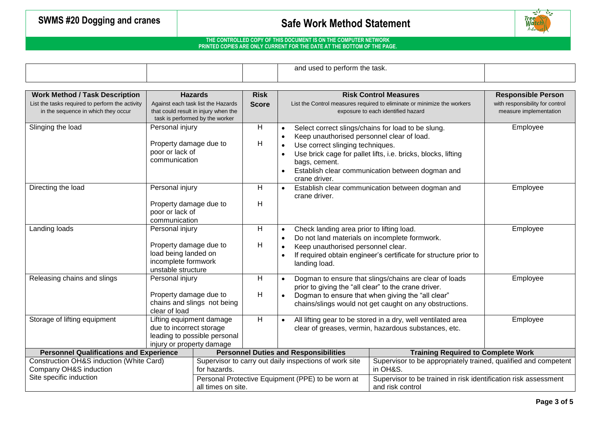

### **THE CONTROLLED COPY OF THIS DOCUMENT IS ON THE COMPUTER NETWORK PRINTED COPIES ARE ONLY CURRENT FOR THE DATE AT THE BOTTOM OF THE PAGE.**

┬

|                                                                                          |                              |                                                                         |                                                                                                        |                                                                                                                | and used to perform the task.                 |                                                                                                              |                                                              |  |
|------------------------------------------------------------------------------------------|------------------------------|-------------------------------------------------------------------------|--------------------------------------------------------------------------------------------------------|----------------------------------------------------------------------------------------------------------------|-----------------------------------------------|--------------------------------------------------------------------------------------------------------------|--------------------------------------------------------------|--|
|                                                                                          |                              |                                                                         |                                                                                                        |                                                                                                                |                                               |                                                                                                              |                                                              |  |
| <b>Work Method / Task Description</b><br>List the tasks required to perform the activity |                              | <b>Hazards</b><br>Against each task list the Hazards                    | <b>Risk</b><br><b>Score</b>                                                                            |                                                                                                                |                                               | <b>Risk Control Measures</b><br>List the Control measures required to eliminate or minimize the workers      | <b>Responsible Person</b><br>with responsibility for control |  |
| in the sequence in which they occur                                                      |                              | that could result in injury when the<br>task is performed by the worker |                                                                                                        |                                                                                                                |                                               | exposure to each identified hazard                                                                           | measure implementation                                       |  |
| Slinging the load                                                                        | Personal injury              |                                                                         | H                                                                                                      |                                                                                                                |                                               | Select correct slings/chains for load to be slung.                                                           | Employee                                                     |  |
|                                                                                          | Property damage due to       |                                                                         | H                                                                                                      |                                                                                                                | Keep unauthorised personnel clear of load.    |                                                                                                              |                                                              |  |
|                                                                                          | poor or lack of              |                                                                         |                                                                                                        |                                                                                                                | Use correct slinging techniques.              |                                                                                                              |                                                              |  |
|                                                                                          | communication                |                                                                         |                                                                                                        |                                                                                                                | bags, cement.                                 | Use brick cage for pallet lifts, i.e. bricks, blocks, lifting                                                |                                                              |  |
|                                                                                          |                              |                                                                         |                                                                                                        |                                                                                                                |                                               | Establish clear communication between dogman and                                                             |                                                              |  |
|                                                                                          |                              |                                                                         | H                                                                                                      |                                                                                                                | crane driver.                                 |                                                                                                              |                                                              |  |
| Directing the load                                                                       |                              | Personal injury                                                         |                                                                                                        | $\bullet$                                                                                                      | crane driver.                                 | Establish clear communication between dogman and                                                             | Employee                                                     |  |
|                                                                                          | Property damage due to       |                                                                         | H                                                                                                      |                                                                                                                |                                               |                                                                                                              |                                                              |  |
|                                                                                          | poor or lack of              |                                                                         |                                                                                                        |                                                                                                                |                                               |                                                                                                              |                                                              |  |
|                                                                                          | communication                |                                                                         |                                                                                                        |                                                                                                                |                                               |                                                                                                              |                                                              |  |
| Landing loads                                                                            | Personal injury              |                                                                         | H.                                                                                                     | $\bullet$                                                                                                      | Check landing area prior to lifting load.     |                                                                                                              | Employee                                                     |  |
|                                                                                          | Property damage due to       |                                                                         | H                                                                                                      |                                                                                                                | Do not land materials on incomplete formwork. |                                                                                                              |                                                              |  |
|                                                                                          | load being landed on         |                                                                         |                                                                                                        |                                                                                                                | Keep unauthorised personnel clear.            | If required obtain engineer's certificate for structure prior to                                             |                                                              |  |
|                                                                                          | incomplete formwork          |                                                                         |                                                                                                        |                                                                                                                | landing load.                                 |                                                                                                              |                                                              |  |
|                                                                                          | unstable structure           |                                                                         |                                                                                                        |                                                                                                                |                                               |                                                                                                              |                                                              |  |
| Releasing chains and slings                                                              | Personal injury              |                                                                         | H                                                                                                      | Dogman to ensure that slings/chains are clear of loads<br>prior to giving the "all clear" to the crane driver. |                                               | Employee                                                                                                     |                                                              |  |
|                                                                                          | Property damage due to       |                                                                         | H                                                                                                      |                                                                                                                |                                               | Dogman to ensure that when giving the "all clear"                                                            |                                                              |  |
|                                                                                          | clear of load                | chains and slings not being                                             |                                                                                                        | chains/slings would not get caught on any obstructions.                                                        |                                               |                                                                                                              |                                                              |  |
| Storage of lifting equipment                                                             | Lifting equipment damage     |                                                                         | $\overline{H}$<br>All lifting gear to be stored in a dry, well ventilated area<br>$\bullet$            |                                                                                                                |                                               | Employee                                                                                                     |                                                              |  |
|                                                                                          | due to incorrect storage     |                                                                         |                                                                                                        | clear of greases, vermin, hazardous substances, etc.                                                           |                                               |                                                                                                              |                                                              |  |
|                                                                                          | leading to possible personal |                                                                         |                                                                                                        |                                                                                                                |                                               |                                                                                                              |                                                              |  |
| <b>Personnel Qualifications and Experience</b>                                           | injury or property damage    |                                                                         |                                                                                                        |                                                                                                                |                                               |                                                                                                              |                                                              |  |
| Construction OH&S induction (White Card)                                                 |                              |                                                                         | <b>Personnel Duties and Responsibilities</b><br>Supervisor to carry out daily inspections of work site |                                                                                                                |                                               | <b>Training Required to Complete Work</b><br>Supervisor to be appropriately trained, qualified and competent |                                                              |  |
| Company OH&S induction                                                                   |                              | for hazards.                                                            |                                                                                                        |                                                                                                                |                                               | in OH&S.                                                                                                     |                                                              |  |
| Site specific induction                                                                  |                              |                                                                         | Personal Protective Equipment (PPE) to be worn at                                                      |                                                                                                                |                                               | Supervisor to be trained in risk identification risk assessment                                              |                                                              |  |
|                                                                                          |                              | all times on site.                                                      |                                                                                                        |                                                                                                                |                                               | and risk control                                                                                             |                                                              |  |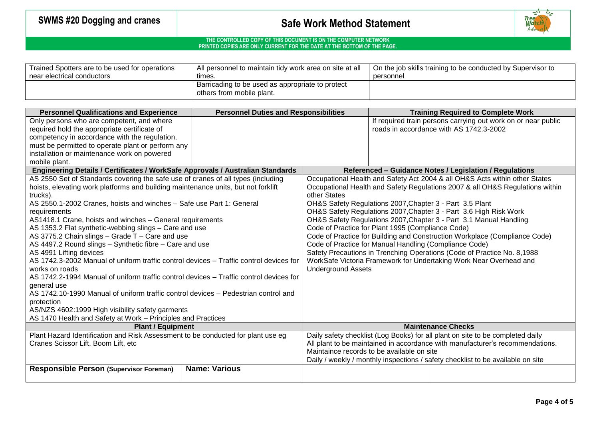

### **THE CONTROLLED COPY OF THIS DOCUMENT IS ON THE COMPUTER NETWORK PRINTED COPIES ARE ONLY CURRENT FOR THE DATE AT THE BOTTOM OF THE PAGE.**

| Trained Spotters are to be used for operations | All personnel to maintain tidy work area on site at all                       | On the job skills training to be conducted by Supervisor to |  |  |  |
|------------------------------------------------|-------------------------------------------------------------------------------|-------------------------------------------------------------|--|--|--|
| near electrical conductors                     | times.                                                                        | personnel                                                   |  |  |  |
|                                                | Barricading to be used as appropriate to protect<br>others from mobile plant. |                                                             |  |  |  |

| <b>Personnel Qualifications and Experience</b>                                         | <b>Personnel Duties and Responsibilities</b>                                   |                                                                               | <b>Training Required to Complete Work</b> |                                                                                 |  |  |
|----------------------------------------------------------------------------------------|--------------------------------------------------------------------------------|-------------------------------------------------------------------------------|-------------------------------------------|---------------------------------------------------------------------------------|--|--|
| Only persons who are competent, and where                                              |                                                                                |                                                                               |                                           | If required train persons carrying out work on or near public                   |  |  |
| required hold the appropriate certificate of                                           |                                                                                |                                                                               |                                           | roads in accordance with AS 1742.3-2002                                         |  |  |
| competency in accordance with the regulation,                                          |                                                                                |                                                                               |                                           |                                                                                 |  |  |
| must be permitted to operate plant or perform any                                      |                                                                                |                                                                               |                                           |                                                                                 |  |  |
| installation or maintenance work on powered                                            |                                                                                |                                                                               |                                           |                                                                                 |  |  |
| mobile plant.                                                                          |                                                                                |                                                                               |                                           |                                                                                 |  |  |
| Engineering Details / Certificates / WorkSafe Approvals / Australian Standards         |                                                                                |                                                                               |                                           | Referenced - Guidance Notes / Legislation / Regulations                         |  |  |
| AS 2550 Set of Standards covering the safe use of cranes of all types (including       |                                                                                | Occupational Health and Safety Act 2004 & all OH&S Acts within other States   |                                           |                                                                                 |  |  |
| hoists, elevating work platforms and building maintenance units, but not forklift      |                                                                                | Occupational Health and Safety Regulations 2007 & all OH&S Regulations within |                                           |                                                                                 |  |  |
| trucks).                                                                               |                                                                                | other States                                                                  |                                           |                                                                                 |  |  |
| AS 2550.1-2002 Cranes, hoists and winches - Safe use Part 1: General                   |                                                                                |                                                                               |                                           | OH&S Safety Regulations 2007, Chapter 3 - Part 3.5 Plant                        |  |  |
| requirements                                                                           |                                                                                |                                                                               |                                           | OH&S Safety Regulations 2007, Chapter 3 - Part 3.6 High Risk Work               |  |  |
| AS1418.1 Crane, hoists and winches - General requirements                              |                                                                                | OH&S Safety Regulations 2007, Chapter 3 - Part 3.1 Manual Handling            |                                           |                                                                                 |  |  |
| AS 1353.2 Flat synthetic-webbing slings - Care and use                                 |                                                                                | Code of Practice for Plant 1995 (Compliance Code)                             |                                           |                                                                                 |  |  |
| AS 3775.2 Chain slings - Grade T - Care and use                                        |                                                                                | Code of Practice for Building and Construction Workplace (Compliance Code)    |                                           |                                                                                 |  |  |
| AS 4497.2 Round slings - Synthetic fibre - Care and use                                |                                                                                | Code of Practice for Manual Handling (Compliance Code)                        |                                           |                                                                                 |  |  |
| AS 4991 Lifting devices                                                                |                                                                                |                                                                               |                                           | Safety Precautions in Trenching Operations (Code of Practice No. 8,1988         |  |  |
| AS 1742.3-2002 Manual of uniform traffic control devices – Traffic control devices for |                                                                                |                                                                               |                                           | WorkSafe Victoria Framework for Undertaking Work Near Overhead and              |  |  |
| works on roads                                                                         |                                                                                | <b>Underground Assets</b>                                                     |                                           |                                                                                 |  |  |
| AS 1742.2-1994 Manual of uniform traffic control devices - Traffic control devices for |                                                                                |                                                                               |                                           |                                                                                 |  |  |
| general use                                                                            |                                                                                |                                                                               |                                           |                                                                                 |  |  |
| AS 1742.10-1990 Manual of uniform traffic control devices - Pedestrian control and     |                                                                                |                                                                               |                                           |                                                                                 |  |  |
| protection                                                                             |                                                                                |                                                                               |                                           |                                                                                 |  |  |
| AS/NZS 4602:1999 High visibility safety garments                                       |                                                                                |                                                                               |                                           |                                                                                 |  |  |
| AS 1470 Health and Safety at Work - Principles and Practices                           |                                                                                |                                                                               |                                           |                                                                                 |  |  |
| <b>Plant / Equipment</b>                                                               | <b>Maintenance Checks</b>                                                      |                                                                               |                                           |                                                                                 |  |  |
| Plant Hazard Identification and Risk Assessment to be conducted for plant use eg       | Daily safety checklist (Log Books) for all plant on site to be completed daily |                                                                               |                                           |                                                                                 |  |  |
| Cranes Scissor Lift, Boom Lift, etc                                                    |                                                                                | All plant to be maintained in accordance with manufacturer's recommendations. |                                           |                                                                                 |  |  |
|                                                                                        |                                                                                | Maintaince records to be available on site                                    |                                           |                                                                                 |  |  |
|                                                                                        |                                                                                |                                                                               |                                           | Daily / weekly / monthly inspections / safety checklist to be available on site |  |  |
| <b>Responsible Person (Supervisor Foreman)</b>                                         | <b>Name: Various</b>                                                           |                                                                               |                                           |                                                                                 |  |  |
|                                                                                        |                                                                                |                                                                               |                                           |                                                                                 |  |  |